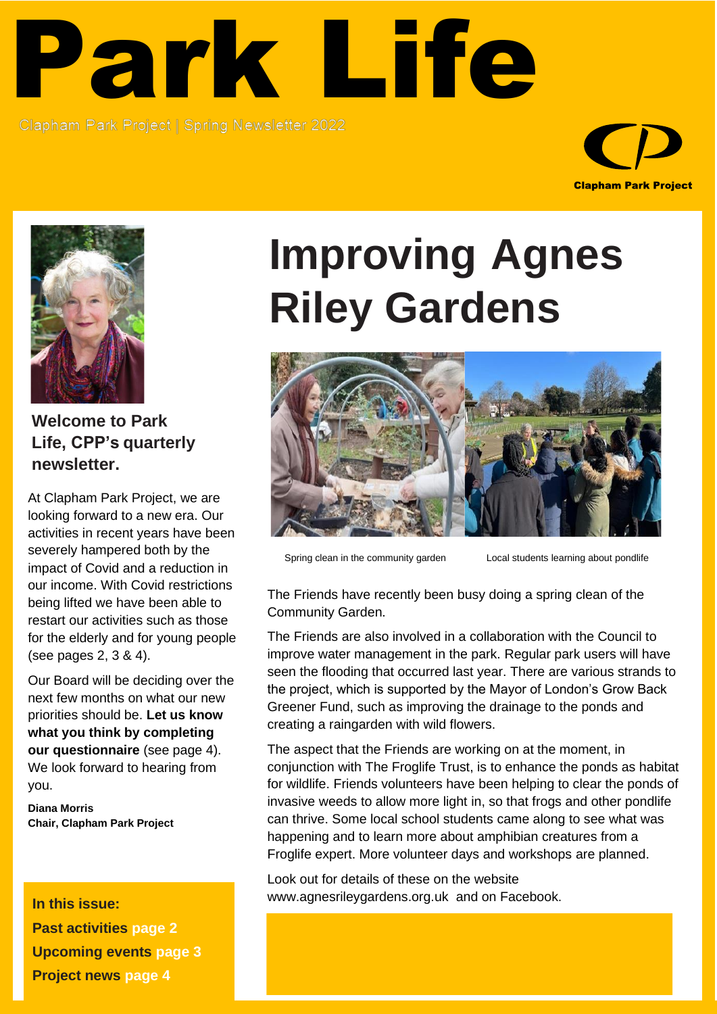## Park Life

**Clapham Park Project** Spring Newsletter 2022 Clapham Park Project | Spring Newsletter 2022





**Welcome to Park Life, CPP's quarterly newsletter.**

At Clapham Park Project, we are looking forward to a new era. Our activities in recent years have been severely hampered both by the impact of Covid and a reduction in our income. With Covid restrictions being lifted we have been able to restart our activities such as those for the elderly and for young people (see pages 2, 3 & 4).

Our Board will be deciding over the next few months on what our new priorities should be. **Let us know what you think by completing our questionnaire** (see page 4). We look forward to hearing from you.

**Diana Morris Chair, Clapham Park Project**

**In this issue: Past activities page 2 Upcoming events page 3 Project news page 4**

## **Improving Agnes Riley Gardens**



Spring clean in the community garden Local students learning about pondlife

The Friends have recently been busy doing a spring clean of the Community Garden.

The Friends are also involved in a collaboration with the Council to improve water management in the park. Regular park users will have seen the flooding that occurred last year. There are various strands to the project, which is supported by the Mayor of London's Grow Back Greener Fund, such as improving the drainage to the ponds and creating a raingarden with wild flowers.

The aspect that the Friends are working on at the moment, in conjunction with [The Froglife Trust,](https://www.froglife.org/) is to enhance the ponds as habitat for wildlife. Friends volunteers have been helping to clear the ponds of invasive weeds to allow more light in, so that frogs and other pondlife can thrive. Some local school students came along to see what was happening and to learn more about amphibian creatures from a Froglife expert. More volunteer days and workshops are planned.

Look out for details of these on the website [www.agnesrileygardens.org.uk](http://www.agnesrileygardens.org.uk/) and on Facebook.